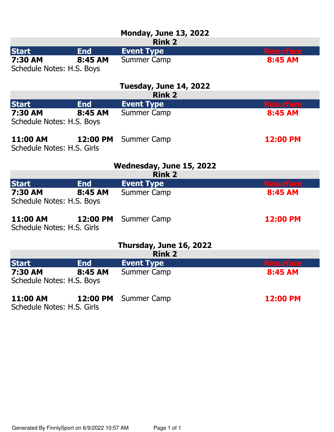|                                        |            | <b>Monday, June 13, 2022</b><br><b>Rink 2</b> |                  |  |
|----------------------------------------|------------|-----------------------------------------------|------------------|--|
| <b>Start</b>                           | <b>End</b> | <b>Event Type</b>                             | <b>Resurface</b> |  |
| 7:30 AM<br>Schedule Notes: H.S. Boys   | 8:45 AM    | <b>Summer Camp</b>                            | 8:45 AM          |  |
|                                        |            | Tuesday, June 14, 2022<br><b>Rink 2</b>       |                  |  |
| <b>Start</b>                           | <b>End</b> | <b>Event Type</b>                             | <b>Resurface</b> |  |
| 7:30 AM<br>Schedule Notes: H.S. Boys   | 8:45 AM    | <b>Summer Camp</b>                            | 8:45 AM          |  |
| 11:00 AM<br>Schedule Notes: H.S. Girls | 12:00 PM   | <b>Summer Camp</b>                            | 12:00 PM         |  |
|                                        |            | Wednesday, June 15, 2022                      |                  |  |
|                                        |            | <b>Rink 2</b>                                 |                  |  |
| <b>Start</b>                           | <b>End</b> | <b>Event Type</b>                             | <b>Resurface</b> |  |
| 7:30 AM<br>Schedule Notes: H.S. Boys   | 8:45 AM    | <b>Summer Camp</b>                            | 8:45 AM          |  |
| 11:00 AM<br>Schedule Notes: H.S. Girls | 12:00 PM   | <b>Summer Camp</b>                            | 12:00 PM         |  |
| Thursday, June 16, 2022                |            |                                               |                  |  |
| <b>Rink 2</b>                          |            |                                               |                  |  |
| <b>Start</b>                           | <b>End</b> | <b>Event Type</b>                             | <b>Resurface</b> |  |
| 7:30 AM<br>Schedule Notes: H.S. Boys   | 8:45 AM    | <b>Summer Camp</b>                            | 8:45 AM          |  |
| 11:00 AM<br>Schedule Notes: H.S. Girls | 12:00 PM   | <b>Summer Camp</b>                            | 12:00 PM         |  |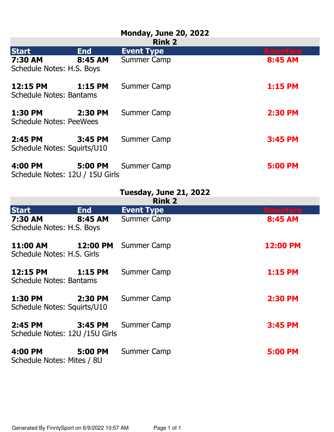## **Monday, June 20, 2022**

| <b>Rink 2</b>                              |            |                    |                  |
|--------------------------------------------|------------|--------------------|------------------|
| <b>Start</b>                               | <b>End</b> | <b>Event Type</b>  | <b>Resurface</b> |
| 7:30 AM<br>Schedule Notes: H.S. Boys       | 8:45 AM    | <b>Summer Camp</b> | 8:45 AM          |
| 12:15 PM<br><b>Schedule Notes: Bantams</b> | $1:15$ PM  | <b>Summer Camp</b> | <b>1:15 PM</b>   |
| 1:30 PM<br><b>Schedule Notes: PeeWees</b>  | 2:30 PM    | <b>Summer Camp</b> | <b>2:30 PM</b>   |
| 2:45 PM<br>Schedule Notes: Squirts/U10     | 3:45 PM    | <b>Summer Camp</b> | <b>3:45 PM</b>   |
| 4:00 PM<br>Schedule Notes: 12U / 15U Girls | 5:00 PM    | Summer Camp        | <b>5:00 PM</b>   |

## **Tuesday, June 21, 2022**

| sday, June 21, 202 |                |  |
|--------------------|----------------|--|
|                    | <b>Diale</b> 2 |  |

| <b>Rink 2</b>                              |            |                    |                  |
|--------------------------------------------|------------|--------------------|------------------|
| <b>Start</b>                               | <b>End</b> | <b>Event Type</b>  | <b>Resurface</b> |
| 7:30 AM<br>Schedule Notes: H.S. Boys       | 8:45 AM    | Summer Camp        | 8:45 AM          |
| 11:00 AM<br>Schedule Notes: H.S. Girls     | 12:00 PM   | Summer Camp        | 12:00 PM         |
| 12:15 PM<br><b>Schedule Notes: Bantams</b> | $1:15$ PM  | <b>Summer Camp</b> | <b>1:15 PM</b>   |
| 1:30 PM<br>Schedule Notes: Squirts/U10     | 2:30 PM    | Summer Camp        | <b>2:30 PM</b>   |
| 2:45 PM<br>Schedule Notes: 12U /15U Girls  | 3:45 PM    | Summer Camp        | <b>3:45 PM</b>   |
| 4:00 PM<br>Schedule Notes: Mites / 8U      | 5:00 PM    | Summer Camp        | <b>5:00 PM</b>   |